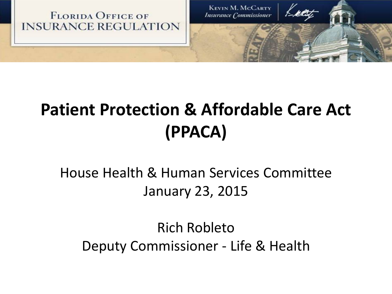

### **Patient Protection & Affordable Care Act (PPACA)**

### House Health & Human Services Committee January 23, 2015

Rich Robleto Deputy Commissioner - Life & Health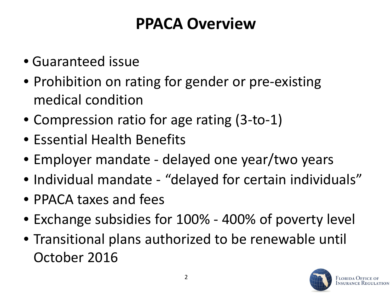### **PPACA Overview**

- Guaranteed issue
- Prohibition on rating for gender or pre-existing medical condition
- Compression ratio for age rating (3-to-1)
- Essential Health Benefits
- Employer mandate delayed one year/two years
- Individual mandate "delayed for certain individuals"
- PPACA taxes and fees
- Exchange subsidies for 100% 400% of poverty level
- Transitional plans authorized to be renewable until October 2016

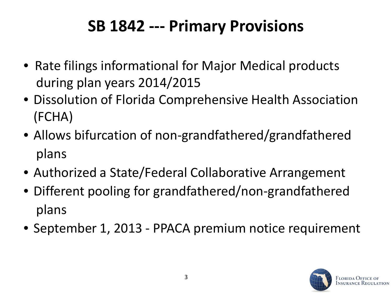### **SB 1842 --- Primary Provisions**

- Rate filings informational for Major Medical products during plan years 2014/2015
- Dissolution of Florida Comprehensive Health Association (FCHA)
- Allows bifurcation of non-grandfathered/grandfathered plans
- Authorized a State/Federal Collaborative Arrangement
- Different pooling for grandfathered/non-grandfathered plans
- September 1, 2013 PPACA premium notice requirement

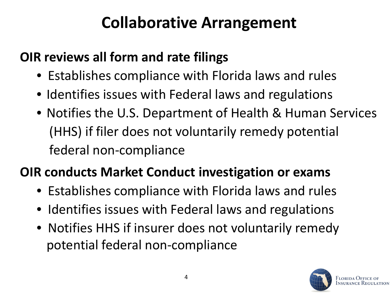### **Collaborative Arrangement**

#### **OIR reviews all form and rate filings**

- Establishes compliance with Florida laws and rules
- Identifies issues with Federal laws and regulations
- Notifies the U.S. Department of Health & Human Services (HHS) if filer does not voluntarily remedy potential federal non-compliance

### **OIR conducts Market Conduct investigation or exams**

- Establishes compliance with Florida laws and rules
- Identifies issues with Federal laws and regulations
- Notifies HHS if insurer does not voluntarily remedy potential federal non-compliance

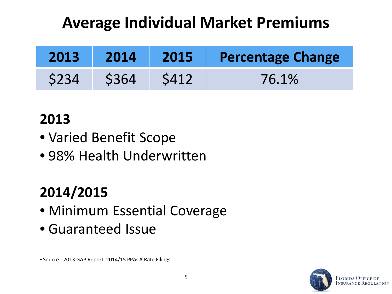### **Average Individual Market Premiums**

| 2013 | 2014 | 2015/ | Percentage Change |
|------|------|-------|-------------------|
| S234 | S364 | S412  | 76.1%             |

### **2013**

- Varied Benefit Scope
- 98% Health Underwritten

### **2014/2015**

- Minimum Essential Coverage
- Guaranteed Issue

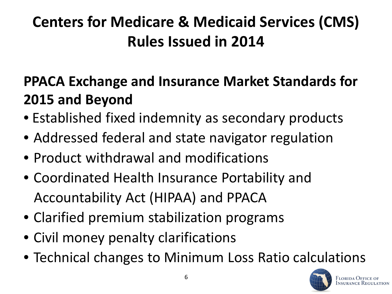### **Centers for Medicare & Medicaid Services (CMS) Rules Issued in 2014**

### **PPACA Exchange and Insurance Market Standards for 2015 and Beyond**

- Established fixed indemnity as secondary products
- Addressed federal and state navigator regulation
- Product withdrawal and modifications
- Coordinated Health Insurance Portability and Accountability Act (HIPAA) and PPACA
- Clarified premium stabilization programs
- Civil money penalty clarifications
- Technical changes to Minimum Loss Ratio calculations

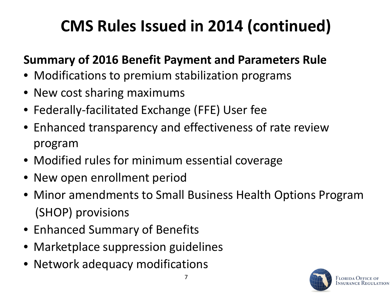# **CMS Rules Issued in 2014 (continued)**

#### **Summary of 2016 Benefit Payment and Parameters Rule**

- Modifications to premium stabilization programs
- New cost sharing maximums
- Federally-facilitated Exchange (FFE) User fee
- Enhanced transparency and effectiveness of rate review program
- Modified rules for minimum essential coverage
- New open enrollment period
- Minor amendments to Small Business Health Options Program (SHOP) provisions
- Enhanced Summary of Benefits
- Marketplace suppression guidelines
- Network adequacy modifications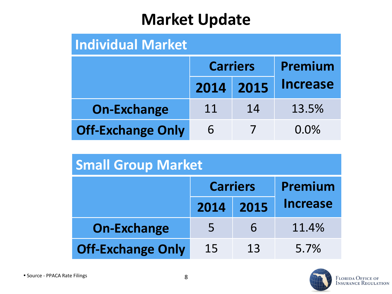### **Market Update**

#### **Individual Market**

|                          |           | <b>Carriers</b> | Premium         |  |
|--------------------------|-----------|-----------------|-----------------|--|
|                          | 2014 2015 |                 | <b>Increase</b> |  |
| <b>On-Exchange</b>       | 11        | 14              | 13.5%           |  |
| <b>Off-Exchange Only</b> | 6         |                 | $0.0\%$         |  |

| <b>Small Group Market</b> |                 |      |                 |  |
|---------------------------|-----------------|------|-----------------|--|
|                           | <b>Carriers</b> |      | Premium         |  |
|                           | 2014            | 2015 | <b>Increase</b> |  |
| <b>On-Exchange</b>        | 5               | 6    | 11.4%           |  |
| <b>Off-Exchange Only</b>  | 15              | 13   | 5.7%            |  |

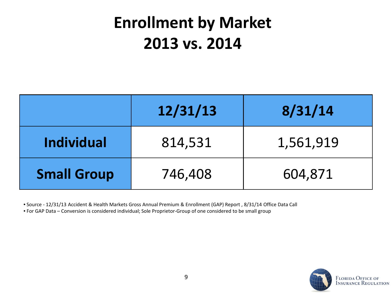### **Enrollment by Market 2013 vs. 2014**

|                    | 12/31/13 | 8/31/14   |
|--------------------|----------|-----------|
| <b>Individual</b>  | 814,531  | 1,561,919 |
| <b>Small Group</b> | 746,408  | 604,871   |

• Source - 12/31/13 Accident & Health Markets Gross Annual Premium & Enrollment (GAP) Report , 8/31/14 Office Data Call • For GAP Data – Conversion is considered individual; Sole Proprietor-Group of one considered to be small group

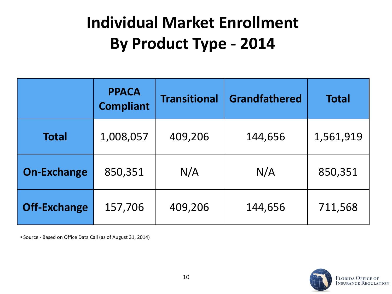# **Individual Market Enrollment By Product Type - 2014**

|                     | <b>PPACA</b><br><b>Compliant</b> | <b>Transitional</b> | <b>Grandfathered</b> | <b>Total</b> |
|---------------------|----------------------------------|---------------------|----------------------|--------------|
| <b>Total</b>        | 1,008,057                        | 409,206             | 144,656              | 1,561,919    |
| <b>On-Exchange</b>  | 850,351                          | N/A                 | N/A                  | 850,351      |
| <b>Off-Exchange</b> | 157,706                          | 409,206             | 144,656              | 711,568      |

• Source - Based on Office Data Call (as of August 31, 2014)

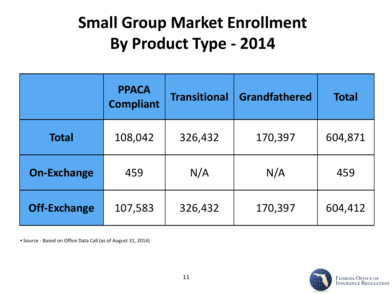# **Small Group Market Enrollment By Product Type - 2014**

|                     | <b>PPACA</b><br><b>Compliant</b> | <b>Transitional</b> | <b>Grandfathered</b> | <b>Total</b> |
|---------------------|----------------------------------|---------------------|----------------------|--------------|
| <b>Total</b>        | 108,042                          | 326,432             | 170,397              | 604,871      |
| <b>On-Exchange</b>  | 459                              | N/A                 | N/A                  | 459          |
| <b>Off-Exchange</b> | 107,583                          | 326,432             | 170,397              | 604,412      |

• Source - Based on Office Data Call (as of August 31, 2014)

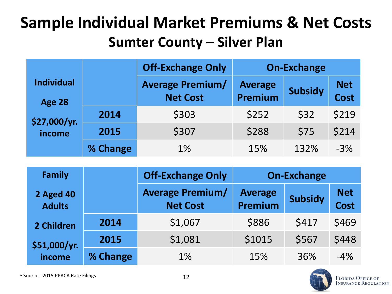### **Sample Individual Market Premiums & Net Costs Sumter County – Silver Plan**

|                                    |          | <b>Off-Exchange Only</b>                   |                           | <b>On-Exchange</b> |                           |
|------------------------------------|----------|--------------------------------------------|---------------------------|--------------------|---------------------------|
| <b>Individual</b><br><b>Age 28</b> |          | <b>Average Premium/</b><br><b>Net Cost</b> | <b>Average</b><br>Premium | <b>Subsidy</b>     | <b>Net</b><br><b>Cost</b> |
| \$27,000/yr.<br>income             | 2014     | \$303                                      | \$252                     | \$32               | \$219                     |
|                                    | 2015     | \$307                                      | \$288                     | \$75               | \$214                     |
|                                    | % Change | 1%                                         | 15%                       | 132%               | $-3%$                     |

| <b>Family</b>                     | <b>Off-Exchange Only</b> |                                            | <b>On-Exchange</b>        |                |                    |  |
|-----------------------------------|--------------------------|--------------------------------------------|---------------------------|----------------|--------------------|--|
| <b>2 Aged 40</b><br><b>Adults</b> |                          | <b>Average Premium/</b><br><b>Net Cost</b> | <b>Average</b><br>Premium | <b>Subsidy</b> | <b>Net</b><br>Cost |  |
| 2 Children                        | 2014                     | \$1,067                                    | \$886                     | \$417          | \$469              |  |
| \$51,000/yr.                      | 2015                     | \$1,081                                    | \$1015                    | \$567          | \$448              |  |
| income                            | % Change                 | 1%                                         | 15%                       | 36%            | $-4%$              |  |

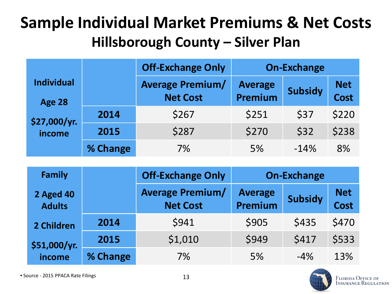### **Sample Individual Market Premiums & Net Costs Hillsborough County – Silver Plan**

|                                    |          | <b>Off-Exchange Only</b>                   |                                  | <b>On-Exchange</b> |                           |
|------------------------------------|----------|--------------------------------------------|----------------------------------|--------------------|---------------------------|
| <b>Individual</b><br><b>Age 28</b> |          | <b>Average Premium/</b><br><b>Net Cost</b> | <b>Average</b><br><b>Premium</b> | <b>Subsidy</b>     | <b>Net</b><br><b>Cost</b> |
| \$27,000/yr.<br>income             | 2014     | \$267                                      | \$251                            | \$37               | \$220                     |
|                                    | 2015     | \$287                                      | \$270                            | \$32               | \$238                     |
|                                    | % Change | 7%                                         | 5%                               | $-14%$             | 8%                        |

| <b>Family</b>                     |          | <b>Off-Exchange Only</b>                   | <b>On-Exchange</b>        |                |                    |
|-----------------------------------|----------|--------------------------------------------|---------------------------|----------------|--------------------|
| <b>2 Aged 40</b><br><b>Adults</b> |          | <b>Average Premium/</b><br><b>Net Cost</b> | <b>Average</b><br>Premium | <b>Subsidy</b> | <b>Net</b><br>Cost |
| 2 Children                        | 2014     | \$941                                      | \$905                     | \$435          | \$470              |
| \$51,000/yr.                      | 2015     | \$1,010                                    | \$949                     | \$417          | \$533              |
| income                            | % Change | 7%                                         | 5%                        | $-4\%$         | 13%                |

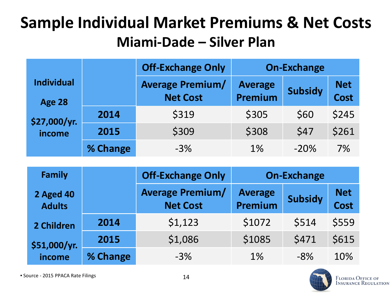### **Sample Individual Market Premiums & Net Costs Miami-Dade – Silver Plan**

|                                    |          | <b>Off-Exchange Only</b>                   |                           | <b>On-Exchange</b> |                           |
|------------------------------------|----------|--------------------------------------------|---------------------------|--------------------|---------------------------|
| <b>Individual</b><br><b>Age 28</b> |          | <b>Average Premium/</b><br><b>Net Cost</b> | <b>Average</b><br>Premium | <b>Subsidy</b>     | <b>Net</b><br><b>Cost</b> |
| \$27,000/yr.<br>income             | 2014     | \$319                                      | \$305                     | \$60               | \$245                     |
|                                    | 2015     | \$309                                      | \$308                     | \$47               | \$261                     |
|                                    | % Change | $-3%$                                      | 1%                        | $-20%$             | 7%                        |

| <b>Family</b>                     |          | <b>Off-Exchange Only</b>                   |                           | <b>On-Exchange</b> |                    |
|-----------------------------------|----------|--------------------------------------------|---------------------------|--------------------|--------------------|
| <b>2 Aged 40</b><br><b>Adults</b> |          | <b>Average Premium/</b><br><b>Net Cost</b> | <b>Average</b><br>Premium | <b>Subsidy</b>     | <b>Net</b><br>Cost |
| 2 Children                        | 2014     | \$1,123                                    | \$1072                    | \$514              | \$559              |
| \$51,000/yr.                      | 2015     | \$1,086                                    | \$1085                    | \$471              | \$615              |
| income                            | % Change | $-3%$                                      | 1%                        | $-8\%$             | 10%                |

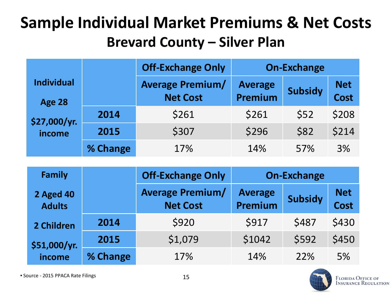### **Sample Individual Market Premiums & Net Costs Brevard County – Silver Plan**

|                                    |          | <b>Off-Exchange Only</b>                   | <b>On-Exchange</b>               |                |                           |
|------------------------------------|----------|--------------------------------------------|----------------------------------|----------------|---------------------------|
| <b>Individual</b><br><b>Age 28</b> |          | <b>Average Premium/</b><br><b>Net Cost</b> | <b>Average</b><br><b>Premium</b> | <b>Subsidy</b> | <b>Net</b><br><b>Cost</b> |
| \$27,000/yr.<br>income             | 2014     | \$261                                      | \$261                            | \$52           | \$208                     |
|                                    | 2015     | \$307                                      | \$296                            | \$82           | \$214                     |
|                                    | % Change | 17%                                        | 14%                              | 57%            | 3%                        |

| <b>Family</b>                     |          | <b>Off-Exchange Only</b>                   | <b>On-Exchange</b>        |                |                    |  |
|-----------------------------------|----------|--------------------------------------------|---------------------------|----------------|--------------------|--|
| <b>2 Aged 40</b><br><b>Adults</b> |          | <b>Average Premium/</b><br><b>Net Cost</b> | <b>Average</b><br>Premium | <b>Subsidy</b> | <b>Net</b><br>Cost |  |
| 2 Children                        | 2014     | \$920                                      | \$917                     | \$487          | \$430              |  |
| \$51,000/yr.<br>income            | 2015     | \$1,079                                    | \$1042                    | \$592          | \$450              |  |
|                                   | % Change | 17%                                        | 14%                       | 22%            | 5%                 |  |

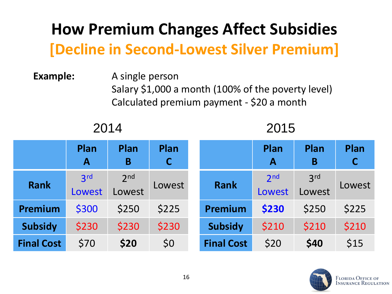### **How Premium Changes Affect Subsidies [Decline in Second-Lowest Silver Premium]**

#### **Example:** A single person Salary \$1,000 a month (100% of the poverty level) Calculated premium payment - \$20 a month

#### 2014 2015

|                   | Plan<br>$\mathbf A$ | Plan<br>B                 | Plan<br>$\mathsf{C}$ |                   | Plan<br>A                 | Plan<br>B                 | Plan<br>$\mathsf C$ |
|-------------------|---------------------|---------------------------|----------------------|-------------------|---------------------------|---------------------------|---------------------|
| <b>Rank</b>       | 2rd<br>Lowest       | 2 <sub>nd</sub><br>Lowest | Lowest               | <b>Rank</b>       | 2 <sub>nd</sub><br>Lowest | 3 <sup>rd</sup><br>Lowest | Lowest              |
| Premium           | \$300               | \$250                     | \$225                | <b>Premium</b>    | \$230                     | \$250                     | \$225               |
| <b>Subsidy</b>    | \$230               | \$230                     | \$230                | <b>Subsidy</b>    | \$210                     | \$210                     | \$210               |
| <b>Final Cost</b> | \$70                | \$20                      | \$0                  | <b>Final Cost</b> | \$20                      | \$40                      | \$15                |